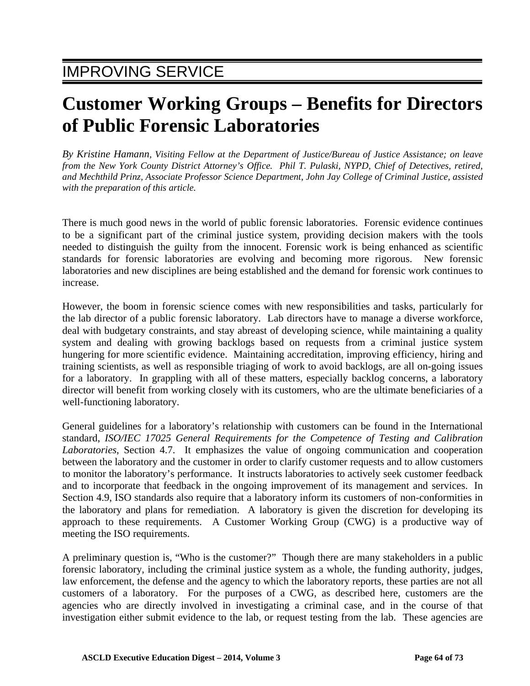## **Customer Working Groups – Benefits for Directors of Public Forensic Laboratories**

*By Kristine Hamann, Visiting Fellow at the Department of Justice/Bureau of Justice Assistance; on leave from the New York County District Attorney's Office. Phil T. Pulaski, NYPD, Chief of Detectives, retired, and Mechthild Prinz, Associate Professor Science Department, John Jay College of Criminal Justice, assisted with the preparation of this article.* 

There is much good news in the world of public forensic laboratories. Forensic evidence continues to be a significant part of the criminal justice system, providing decision makers with the tools needed to distinguish the guilty from the innocent. Forensic work is being enhanced as scientific standards for forensic laboratories are evolving and becoming more rigorous. New forensic laboratories and new disciplines are being established and the demand for forensic work continues to increase.

However, the boom in forensic science comes with new responsibilities and tasks, particularly for the lab director of a public forensic laboratory. Lab directors have to manage a diverse workforce, deal with budgetary constraints, and stay abreast of developing science, while maintaining a quality system and dealing with growing backlogs based on requests from a criminal justice system hungering for more scientific evidence. Maintaining accreditation, improving efficiency, hiring and training scientists, as well as responsible triaging of work to avoid backlogs, are all on-going issues for a laboratory. In grappling with all of these matters, especially backlog concerns, a laboratory director will benefit from working closely with its customers, who are the ultimate beneficiaries of a well-functioning laboratory.

General guidelines for a laboratory's relationship with customers can be found in the International standard, *ISO/IEC 17025 General Requirements for the Competence of Testing and Calibration Laboratories*, Section 4.7. It emphasizes the value of ongoing communication and cooperation between the laboratory and the customer in order to clarify customer requests and to allow customers to monitor the laboratory's performance. It instructs laboratories to actively seek customer feedback and to incorporate that feedback in the ongoing improvement of its management and services. In Section 4.9, ISO standards also require that a laboratory inform its customers of non-conformities in the laboratory and plans for remediation. A laboratory is given the discretion for developing its approach to these requirements. A Customer Working Group (CWG) is a productive way of meeting the ISO requirements.

A preliminary question is, "Who is the customer?" Though there are many stakeholders in a public forensic laboratory, including the criminal justice system as a whole, the funding authority, judges, law enforcement, the defense and the agency to which the laboratory reports, these parties are not all customers of a laboratory. For the purposes of a CWG, as described here, customers are the agencies who are directly involved in investigating a criminal case, and in the course of that investigation either submit evidence to the lab, or request testing from the lab. These agencies are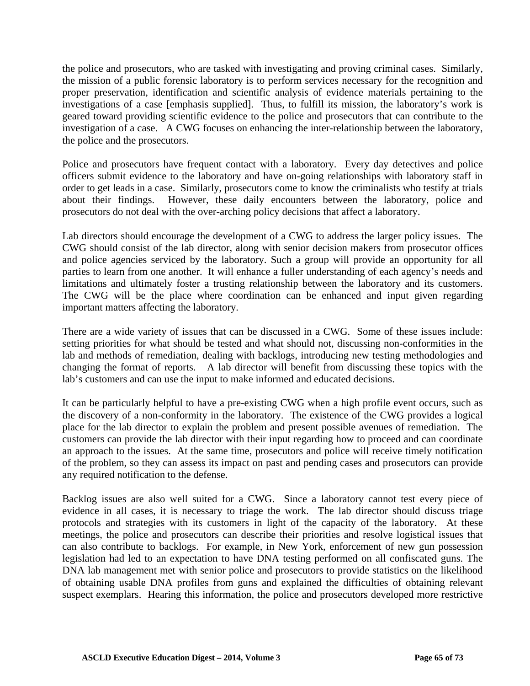the police and prosecutors, who are tasked with investigating and proving criminal cases. Similarly, the mission of a public forensic laboratory is to perform services necessary for the recognition and proper preservation, identification and scientific analysis of evidence materials pertaining to the investigations of a case [emphasis supplied]. Thus, to fulfill its mission, the laboratory's work is geared toward providing scientific evidence to the police and prosecutors that can contribute to the investigation of a case. A CWG focuses on enhancing the inter-relationship between the laboratory, the police and the prosecutors.

Police and prosecutors have frequent contact with a laboratory. Every day detectives and police officers submit evidence to the laboratory and have on-going relationships with laboratory staff in order to get leads in a case. Similarly, prosecutors come to know the criminalists who testify at trials about their findings. However, these daily encounters between the laboratory, police and prosecutors do not deal with the over-arching policy decisions that affect a laboratory.

Lab directors should encourage the development of a CWG to address the larger policy issues. The CWG should consist of the lab director, along with senior decision makers from prosecutor offices and police agencies serviced by the laboratory. Such a group will provide an opportunity for all parties to learn from one another. It will enhance a fuller understanding of each agency's needs and limitations and ultimately foster a trusting relationship between the laboratory and its customers. The CWG will be the place where coordination can be enhanced and input given regarding important matters affecting the laboratory.

There are a wide variety of issues that can be discussed in a CWG. Some of these issues include: setting priorities for what should be tested and what should not, discussing non-conformities in the lab and methods of remediation, dealing with backlogs, introducing new testing methodologies and changing the format of reports. A lab director will benefit from discussing these topics with the lab's customers and can use the input to make informed and educated decisions.

It can be particularly helpful to have a pre-existing CWG when a high profile event occurs, such as the discovery of a non-conformity in the laboratory. The existence of the CWG provides a logical place for the lab director to explain the problem and present possible avenues of remediation. The customers can provide the lab director with their input regarding how to proceed and can coordinate an approach to the issues. At the same time, prosecutors and police will receive timely notification of the problem, so they can assess its impact on past and pending cases and prosecutors can provide any required notification to the defense.

Backlog issues are also well suited for a CWG. Since a laboratory cannot test every piece of evidence in all cases, it is necessary to triage the work. The lab director should discuss triage protocols and strategies with its customers in light of the capacity of the laboratory. At these meetings, the police and prosecutors can describe their priorities and resolve logistical issues that can also contribute to backlogs. For example, in New York, enforcement of new gun possession legislation had led to an expectation to have DNA testing performed on all confiscated guns. The DNA lab management met with senior police and prosecutors to provide statistics on the likelihood of obtaining usable DNA profiles from guns and explained the difficulties of obtaining relevant suspect exemplars. Hearing this information, the police and prosecutors developed more restrictive